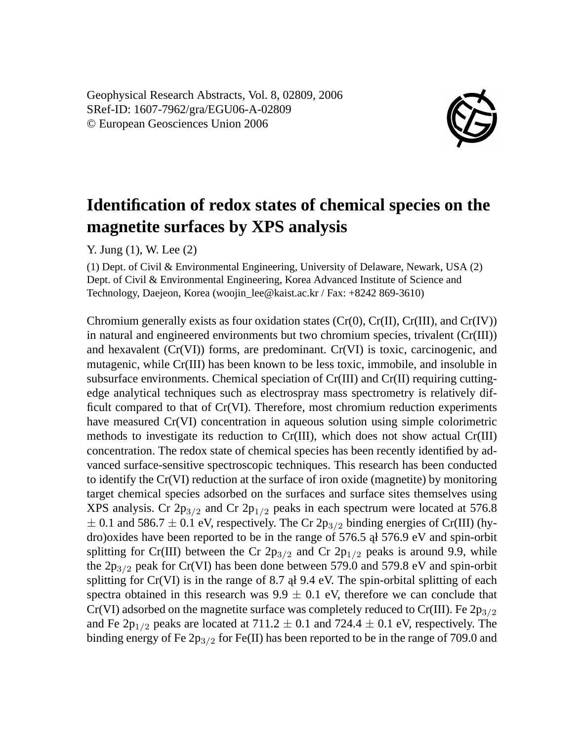Geophysical Research Abstracts, Vol. 8, 02809, 2006 SRef-ID: 1607-7962/gra/EGU06-A-02809 © European Geosciences Union 2006



## **Identification of redox states of chemical species on the magnetite surfaces by XPS analysis**

Y. Jung (1), W. Lee (2)

(1) Dept. of Civil & Environmental Engineering, University of Delaware, Newark, USA (2) Dept. of Civil & Environmental Engineering, Korea Advanced Institute of Science and Technology, Daejeon, Korea (woojin\_lee@kaist.ac.kr / Fax: +8242 869-3610)

Chromium generally exists as four oxidation states  $(Cr(0), Cr(III), Cr(III))$ , and  $Cr(IV)$ in natural and engineered environments but two chromium species, trivalent (Cr(III)) and hexavalent (Cr(VI)) forms, are predominant. Cr(VI) is toxic, carcinogenic, and mutagenic, while Cr(III) has been known to be less toxic, immobile, and insoluble in subsurface environments. Chemical speciation of Cr(III) and Cr(II) requiring cuttingedge analytical techniques such as electrospray mass spectrometry is relatively difficult compared to that of Cr(VI). Therefore, most chromium reduction experiments have measured Cr(VI) concentration in aqueous solution using simple colorimetric methods to investigate its reduction to Cr(III), which does not show actual Cr(III) concentration. The redox state of chemical species has been recently identified by advanced surface-sensitive spectroscopic techniques. This research has been conducted to identify the Cr(VI) reduction at the surface of iron oxide (magnetite) by monitoring target chemical species adsorbed on the surfaces and surface sites themselves using XPS analysis. Cr  $2p_{3/2}$  and Cr  $2p_{1/2}$  peaks in each spectrum were located at 576.8  $\pm$  0.1 and 586.7  $\pm$  0.1 eV, respectively. The Cr 2p<sub>3/2</sub> binding energies of Cr(III) (hydro)oxides have been reported to be in the range of 576.5 al 576.9 eV and spin-orbit splitting for Cr(III) between the Cr  $2p_{3/2}$  and Cr  $2p_{1/2}$  peaks is around 9.9, while the  $2p_{3/2}$  peak for Cr(VI) has been done between 579.0 and 579.8 eV and spin-orbit splitting for  $Cr(VI)$  is in the range of 8.7 al 9.4 eV. The spin-orbital splitting of each spectra obtained in this research was  $9.9 \pm 0.1$  eV, therefore we can conclude that Cr(VI) adsorbed on the magnetite surface was completely reduced to Cr(III). Fe  $2p_{3/2}$ and Fe 2p<sub>1/2</sub> peaks are located at 711.2  $\pm$  0.1 and 724.4  $\pm$  0.1 eV, respectively. The binding energy of Fe  $2p_{3/2}$  for Fe(II) has been reported to be in the range of 709.0 and